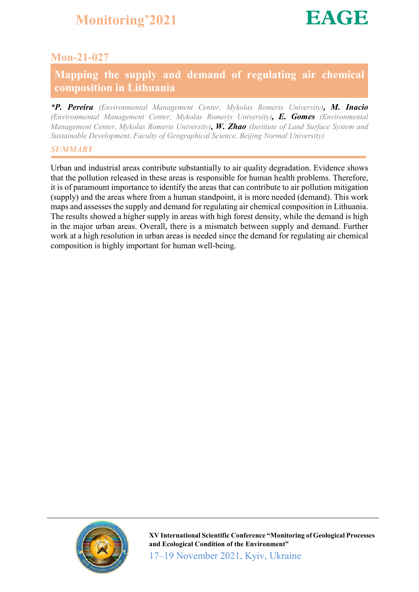

### Mon-21-027

### Mapping the supply and demand of regulating air chemical composition in Lithuania

*\*P. Pereira (Environmental Management Center, Mykolas Romeris University), M. Inacio (Environmental Management Center, Mykolas Romeris University), E. Gomes (Environmental Management Center, Mykolas Romeris University), W. Zhao (Institute of Land Surface System and Sustainable Development, Faculty of Geographical Science, Beijing Normal University)*

### *SUMMARY*

Urban and industrial areas contribute substantially to air quality degradation. Evidence shows that the pollution released in these areas is responsible for human health problems. Therefore, it is of paramount importance to identify the areas that can contribute to air pollution mitigation (supply) and the areas where from a human standpoint, it is more needed (demand). This work maps and assesses the supply and demand for regulating air chemical composition in Lithuania. The results showed a higher supply in areas with high forest density, while the demand is high in the major urban areas. Overall, there is a mismatch between supply and demand. Further work at a high resolution in urban areas is needed since the demand for regulating air chemical composition is highly important for human well-being.



XV International Scientific Conference "Monitoring of Geological Processes and Ecological Condition of the Environment" 17–19 November 2021, Kyiv, Ukraine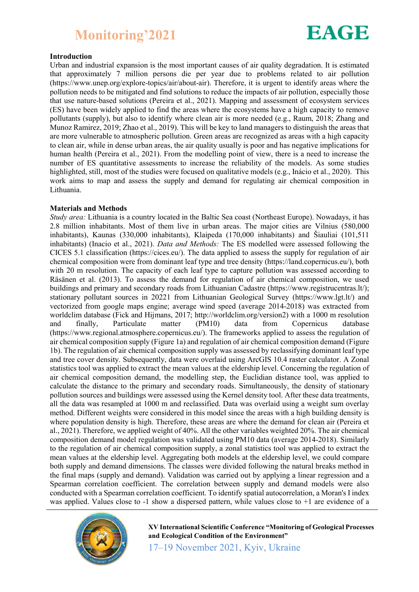

### Introduction

Urban and industrial expansion is the most important causes of air quality degradation. It is estimated that approximately 7 million persons die per year due to problems related to air pollution (https://www.unep.org/explore-topics/air/about-air). Therefore, it is urgent to identify areas where the pollution needs to be mitigated and find solutions to reduce the impacts of air pollution, especially those that use nature-based solutions (Pereira et al., 2021). Mapping and assessment of ecosystem services (ES) have been widely applied to find the areas where the ecosystems have a high capacity to remove pollutants (supply), but also to identify where clean air is more needed (e.g., Raum, 2018; Zhang and Munoz Ramirez, 2019; Zhao et al., 2019). This will be key to land managers to distinguish the areas that are more vulnerable to atmospheric pollution. Green areas are recognized as areas with a high capacity to clean air, while in dense urban areas, the air quality usually is poor and has negative implications for human health (Pereira et al., 2021). From the modelling point of view, there is a need to increase the number of ES quantitative assessments to increase the reliability of the models. As some studies highlighted, still, most of the studies were focused on qualitative models (e.g., Inácio et al., 2020). This work aims to map and assess the supply and demand for regulating air chemical composition in Lithuania.

#### Materials and Methods

*Study area:* Lithuania is a country located in the Baltic Sea coast (Northeast Europe). Nowadays, it has 2.8 million inhabitants. Most of them live in urban areas. The major cities are Vilnius (580,000 inhabitants), Kaunas (330,000 inhabitants), Klaipeda (170,000 inhabitants) and Šiauliai (101,511 inhabitants) (Inacio et al., 2021). *Data and Methods:* The ES modelled were assessed following the CICES 5.1 classification (https://cices.eu/). The data applied to assess the supply for regulation of air chemical composition were from dominant leaf type and tree density (https://land.copernicus.eu/), both with 20 m resolution. The capacity of each leaf type to capture pollution was assessed according to Räsänen et al. (2013). To assess the demand for regulation of air chemical composition, we used buildings and primary and secondary roads from Lithuanian Cadastre (https://www.registrucentras.lt/); stationary pollutant sources in 20221 from Lithuanian Geological Survey (https://www.lgt.lt/) and vectorized from google maps engine; average wind speed (average 2014-2018) was extracted from worldclim database (Fick and Hijmans, 2017; http://worldclim.org/version2) with a 1000 m resolution and finally, Particulate matter (PM10) data from Copernicus database (https://www.regional.atmosphere.copernicus.eu/). The frameworks applied to assess the regulation of air chemical composition supply (Figure 1a) and regulation of air chemical composition demand (Figure 1b). The regulation of air chemical composition supply was assessed by reclassifying dominant leaf type and tree cover density. Subsequently, data were overlaid using ArcGIS 10.4 raster calculator. A Zonal statistics tool was applied to extract the mean values at the eldership level. Concerning the regulation of air chemical composition demand, the modelling step, the Euclidian distance tool, was applied to calculate the distance to the primary and secondary roads. Simultaneously, the density of stationary pollution sources and buildings were assessed using the Kernel density tool. After these data treatments, all the data was resampled at 1000 m and reclassified. Data was overlaid using a weight sum overlay method. Different weights were considered in this model since the areas with a high building density is where population density is high. Therefore, these areas are where the demand for clean air (Pereira et al., 2021). Therefore, we applied weight of 40%. All the other variables weighted 20%. The air chemical composition demand model regulation was validated using PM10 data (average 2014-2018). Similarly to the regulation of air chemical composition supply, a zonal statistics tool was applied to extract the mean values at the eldership level. Aggregating both models at the eldership level, we could compare both supply and demand dimensions. The classes were divided following the natural breaks method in the final maps (supply and demand). Validation was carried out by applying a linear regression and a Spearman correlation coefficient. The correlation between supply and demand models were also conducted with a Spearman correlation coefficient. To identify spatial autocorrelation, a Moran's I index was applied. Values close to -1 show a dispersed pattern, while values close to +1 are evidence of a



XV International Scientific Conference "Monitoring of Geological Processes and Ecological Condition of the Environment"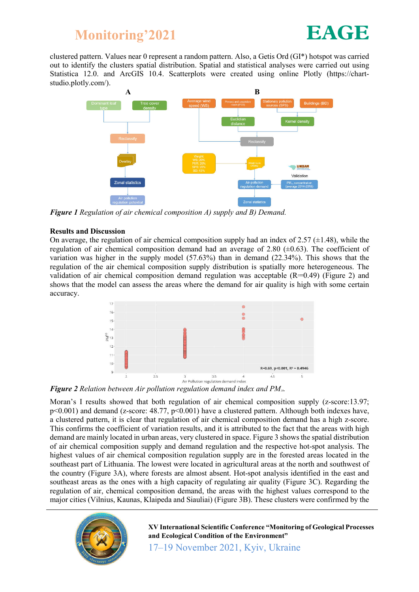

clustered pattern. Values near 0 represent a random pattern. Also, a Getis Ord (GI\*) hotspot was carried out to identify the clusters spatial distribution. Spatial and statistical analyses were carried out using Statistica 12.0. and ArcGIS 10.4. Scatterplots were created using online Plotly (https://chartstudio.plotly.com/).



*Figure 1 Regulation of air chemical composition A) supply and B) Demand.*

### Results and Discussion

On average, the regulation of air chemical composition supply had an index of 2.57  $(\pm 1.48)$ , while the regulation of air chemical composition demand had an average of 2.80  $(\pm 0.63)$ . The coefficient of variation was higher in the supply model (57.63%) than in demand (22.34%). This shows that the regulation of the air chemical composition supply distribution is spatially more heterogeneous. The validation of air chemical composition demand regulation was acceptable  $(R=0.49)$  (Figure 2) and shows that the model can assess the areas where the demand for air quality is high with some certain accuracy.



*Figure 2 Relation between Air pollution regulation demand index and PM10.*

Moran's I results showed that both regulation of air chemical composition supply (z-score:13.97; p<0.001) and demand (z-score: 48.77, p<0.001) have a clustered pattern. Although both indexes have, a clustered pattern, it is clear that regulation of air chemical composition demand has a high z-score. This confirms the coefficient of variation results, and it is attributed to the fact that the areas with high demand are mainly located in urban areas, very clustered in space. Figure 3 shows the spatial distribution of air chemical composition supply and demand regulation and the respective hot-spot analysis. The highest values of air chemical composition regulation supply are in the forested areas located in the southeast part of Lithuania. The lowest were located in agricultural areas at the north and southwest of the country (Figure 3A), where forests are almost absent. Hot-spot analysis identified in the east and southeast areas as the ones with a high capacity of regulating air quality (Figure 3C). Regarding the regulation of air, chemical composition demand, the areas with the highest values correspond to the major cities (Vilnius, Kaunas, Klaipeda and Siauliai) (Figure 3B). These clusters were confirmed by the



XV International Scientific Conference "Monitoring of Geological Processes and Ecological Condition of the Environment"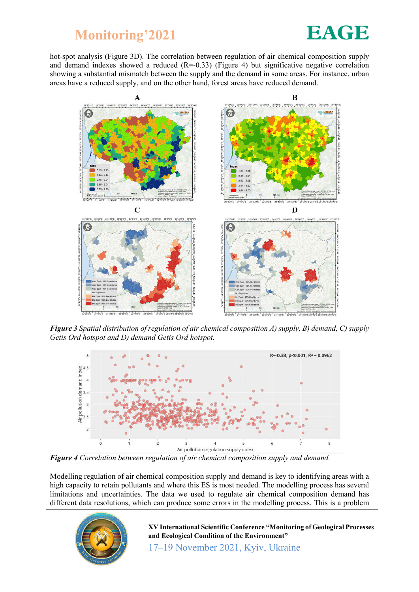

hot-spot analysis (Figure 3D). The correlation between regulation of air chemical composition supply and demand indexes showed a reduced  $(R=0.33)$  (Figure 4) but significative negative correlation showing a substantial mismatch between the supply and the demand in some areas. For instance, urban areas have a reduced supply, and on the other hand, forest areas have reduced demand.



*Figure 3 Spatial distribution of regulation of air chemical composition A) supply, B) demand, C) supply Getis Ord hotspot and D) demand Getis Ord hotspot.*



*Figure 4 Correlation between regulation of air chemical composition supply and demand.*

Modelling regulation of air chemical composition supply and demand is key to identifying areas with a high capacity to retain pollutants and where this ES is most needed. The modelling process has several limitations and uncertainties. The data we used to regulate air chemical composition demand has different data resolutions, which can produce some errors in the modelling process. This is a problem



XV International Scientific Conference "Monitoring of Geological Processes and Ecological Condition of the Environment"